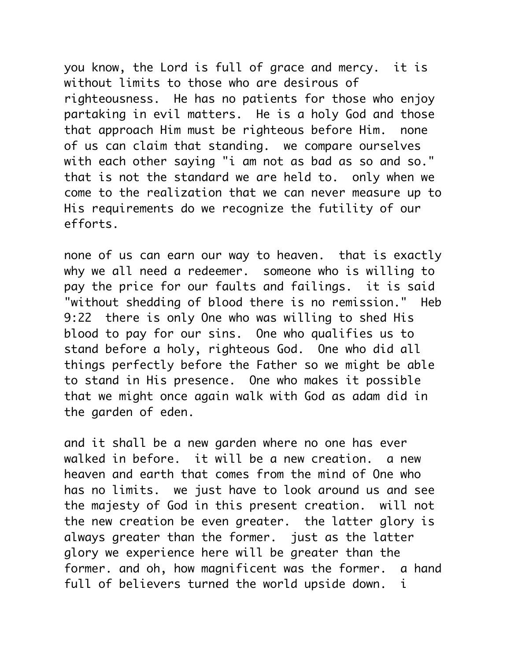you know, the Lord is full of grace and mercy. it is without limits to those who are desirous of righteousness. He has no patients for those who enjoy partaking in evil matters. He is a holy God and those that approach Him must be righteous before Him. none of us can claim that standing. we compare ourselves with each other saying "i am not as bad as so and so." that is not the standard we are held to. only when we come to the realization that we can never measure up to His requirements do we recognize the futility of our efforts.

none of us can earn our way to heaven. that is exactly why we all need a redeemer. someone who is willing to pay the price for our faults and failings. it is said "without shedding of blood there is no remission." Heb 9:22 there is only One who was willing to shed His blood to pay for our sins. One who qualifies us to stand before a holy, righteous God. One who did all things perfectly before the Father so we might be able to stand in His presence. One who makes it possible that we might once again walk with God as adam did in the garden of eden.

and it shall be a new garden where no one has ever walked in before. it will be a new creation. a new heaven and earth that comes from the mind of One who has no limits. we just have to look around us and see the majesty of God in this present creation. will not the new creation be even greater. the latter glory is always greater than the former. just as the latter glory we experience here will be greater than the former. and oh, how magnificent was the former. a hand full of believers turned the world upside down. i